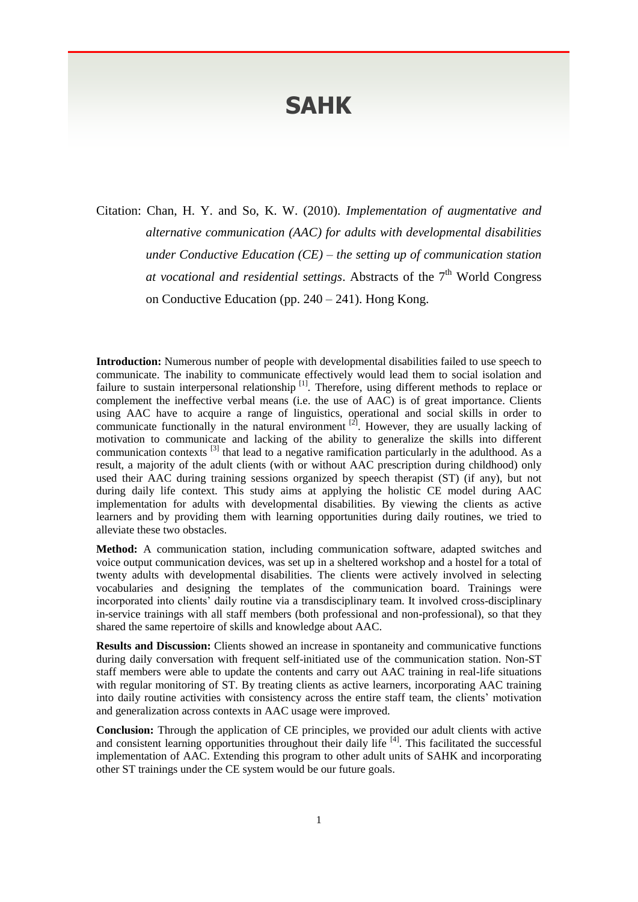## **SAHK**

Citation: Chan, H. Y. and So, K. W. (2010). *Implementation of augmentative and alternative communication (AAC) for adults with developmental disabilities under Conductive Education (CE) – the setting up of communication station*  at vocational and residential settings. Abstracts of the 7<sup>th</sup> World Congress on Conductive Education (pp. 240 – 241). Hong Kong.

**Introduction:** Numerous number of people with developmental disabilities failed to use speech to communicate. The inability to communicate effectively would lead them to social isolation and failure to sustain interpersonal relationship [1]. Therefore, using different methods to replace or complement the ineffective verbal means (i.e. the use of AAC) is of great importance. Clients using AAC have to acquire a range of linguistics, operational and social skills in order to communicate functionally in the natural environment  $[2]$ . However, they are usually lacking of motivation to communicate and lacking of the ability to generalize the skills into different communication contexts <sup>[3]</sup> that lead to a negative ramification particularly in the adulthood. As a result, a majority of the adult clients (with or without AAC prescription during childhood) only used their AAC during training sessions organized by speech therapist (ST) (if any), but not during daily life context. This study aims at applying the holistic CE model during AAC implementation for adults with developmental disabilities. By viewing the clients as active learners and by providing them with learning opportunities during daily routines, we tried to alleviate these two obstacles.

**Method:** A communication station, including communication software, adapted switches and voice output communication devices, was set up in a sheltered workshop and a hostel for a total of twenty adults with developmental disabilities. The clients were actively involved in selecting vocabularies and designing the templates of the communication board. Trainings were incorporated into clients' daily routine via a transdisciplinary team. It involved cross-disciplinary in-service trainings with all staff members (both professional and non-professional), so that they shared the same repertoire of skills and knowledge about AAC.

**Results and Discussion:** Clients showed an increase in spontaneity and communicative functions during daily conversation with frequent self-initiated use of the communication station. Non-ST staff members were able to update the contents and carry out AAC training in real-life situations with regular monitoring of ST. By treating clients as active learners, incorporating AAC training into daily routine activities with consistency across the entire staff team, the clients' motivation and generalization across contexts in AAC usage were improved.

**Conclusion:** Through the application of CE principles, we provided our adult clients with active and consistent learning opportunities throughout their daily life <sup>[4]</sup>. This facilitated the successful implementation of AAC. Extending this program to other adult units of SAHK and incorporating other ST trainings under the CE system would be our future goals.